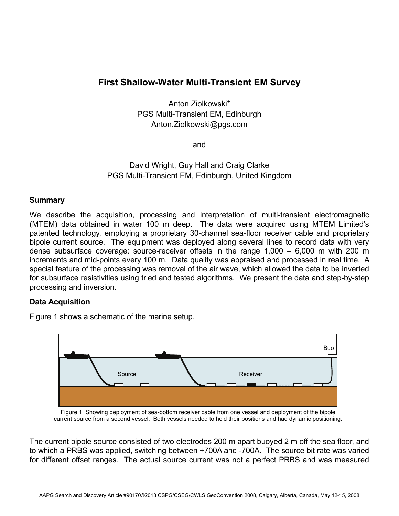# **First Shallow-Water Multi-Transient EM Survey**

Anton Ziolkowski\* PGS Multi-Transient EM, Edinburgh Anton.Ziolkowski@pgs.com

and

## David Wright, Guy Hall and Craig Clarke PGS Multi-Transient EM, Edinburgh, United Kingdom

#### **Summary**

We describe the acquisition, processing and interpretation of multi-transient electromagnetic (MTEM) data obtained in water 100 m deep. The data were acquired using MTEM Limited's patented technology, employing a proprietary 30-channel sea-floor receiver cable and proprietary bipole current source. The equipment was deployed along several lines to record data with very dense subsurface coverage: source-receiver offsets in the range 1,000 – 6,000 m with 200 m increments and mid-points every 100 m. Data quality was appraised and processed in real time. A special feature of the processing was removal of the air wave, which allowed the data to be inverted for subsurface resistivities using tried and tested algorithms. We present the data and step-by-step processing and inversion.

#### **Data Acquisition**

Figure 1 shows a schematic of the marine setup.



Figure 1: Showing deployment of sea-bottom receiver cable from one vessel and deployment of the bipole current source from a second vessel. Both vessels needed to hold their positions and had dynamic positioning.

The current bipole source consisted of two electrodes 200 m apart buoyed 2 m off the sea floor, and to which a PRBS was applied, switching between +700A and -700A. The source bit rate was varied for different offset ranges. The actual source current was not a perfect PRBS and was measured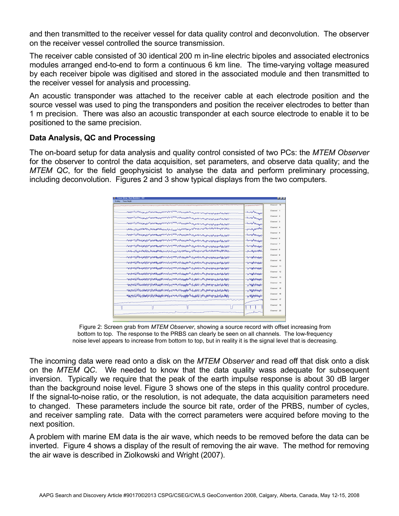and then transmitted to the receiver vessel for data quality control and deconvolution. The observer on the receiver vessel controlled the source transmission.

The receiver cable consisted of 30 identical 200 m in-line electric bipoles and associated electronics modules arranged end-to-end to form a continuous 6 km line. The time-varying voltage measured by each receiver bipole was digitised and stored in the associated module and then transmitted to the receiver vessel for analysis and processing.

An acoustic transponder was attached to the receiver cable at each electrode position and the source vessel was used to ping the transponders and position the receiver electrodes to better than 1 m precision. There was also an acoustic transponder at each source electrode to enable it to be positioned to the same precision.

## **Data Analysis, QC and Processing**

The on-board setup for data analysis and quality control consisted of two PCs: the *MTEM Observer* for the observer to control the data acquisition, set parameters, and observe data quality; and the *MTEM QC*, for the field geophysicist to analyse the data and perform preliminary processing, including deconvolution. Figures 2 and 3 show typical displays from the two computers.

| Scaling Trace Height |                                                                                                                                |                                               | Channel 19 |
|----------------------|--------------------------------------------------------------------------------------------------------------------------------|-----------------------------------------------|------------|
|                      |                                                                                                                                |                                               |            |
|                      |                                                                                                                                | - described Whitehall                         | Channel 1  |
|                      |                                                                                                                                | harder way                                    | Channel 2  |
|                      |                                                                                                                                | handy Magaz                                   | Channel 3  |
|                      | -เกษต์แก <sub>่ง</sub> สำหรับสมบัตรที่มาแล้วทองเดอกที่ให้และสมบัติและสมบัติและสมบัติและสมบัติเหตุและสมบัติและจัดที่มีความสมบัต | <b>-perchanthol</b>                           | Channel 4  |
|                      |                                                                                                                                | <b><i><u> American American A</u></i></b>     | Channel 5  |
|                      |                                                                                                                                | بالمصادح والمستعين                            | Channel 6  |
|                      |                                                                                                                                | <b><i>Australian Australian Content</i></b>   | Channel 7  |
|                      |                                                                                                                                | mpondely Modeledy                             | Channel 8  |
|                      |                                                                                                                                | <b><i><i><u>Australian Maghal</u></i></i></b> | Channel 0  |
|                      |                                                                                                                                | www.howakh                                    | Channel 10 |
|                      | <i>๚๚๚๚๚ฦ฿฿๛ฦฦ๚๚ๅ๚๚๚฿<sub>๚๚</sub>๚๛๛๚๚ๅ๚๚๚๚๚๚๚๚๚๚๚๚๚๚๚๚๚๚๚๚๚๚๚</i>                                                            | ๛๛๚๛๛๛                                        | Channel 11 |
|                      |                                                                                                                                | nnerhallmann                                  | Channel 12 |
|                      |                                                                                                                                | -yaqyalalay                                   | Channel 13 |
|                      |                                                                                                                                | - <sub>Ն</sub> տապրեկություն                  | Channel 14 |
|                      | marketynyn for a for the man a formulation and the manufacture of the state of the state of the state of the s                 | www.philaph                                   | Channel 15 |
|                      |                                                                                                                                | -y/WWW44W                                     | Channel 10 |
|                      |                                                                                                                                |                                               | Channel 17 |
|                      |                                                                                                                                |                                               | Channel 18 |
|                      |                                                                                                                                |                                               | Channel 20 |

Figure 2: Screen grab from *MTEM Observer*, showing a source record with offset increasing from bottom to top. The response to the PRBS can clearly be seen on all channels. The low-frequency noise level appears to increase from bottom to top, but in reality it is the signal level that is decreasing.

The incoming data were read onto a disk on the *MTEM Observer* and read off that disk onto a disk on the *MTEM QC*. We needed to know that the data quality wass adequate for subsequent inversion. Typically we require that the peak of the earth impulse response is about 30 dB larger than the background noise level. Figure 3 shows one of the steps in this quality control procedure. If the signal-to-noise ratio, or the resolution, is not adequate, the data acquisition parameters need to changed. These parameters include the source bit rate, order of the PRBS, number of cycles, and receiver sampling rate. Data with the correct parameters were acquired before moving to the next position.

A problem with marine EM data is the air wave, which needs to be removed before the data can be inverted. Figure 4 shows a display of the result of removing the air wave. The method for removing the air wave is described in Ziolkowski and Wright (2007).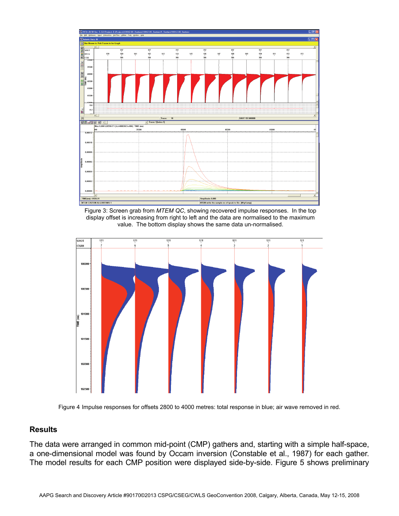

Figure 3: Screen grab from *MTEM QC*, showing recovered impulse responses. In the top display offset is increasing from right to left and the data are normalised to the maximum value. The bottom display shows the same data un-normalised.



Figure 4 Impulse responses for offsets 2800 to 4000 metres: total response in blue; air wave removed in red.

## **Results**

The data were arranged in common mid-point (CMP) gathers and, starting with a simple half-space, a one-dimensional model was found by Occam inversion (Constable et al., 1987) for each gather. The model results for each CMP position were displayed side-by-side. Figure 5 shows preliminary